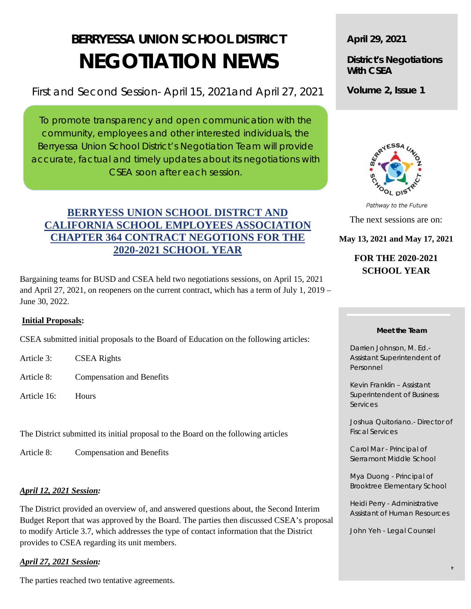# **BERRYESSA UNION SCHOOL DISTRICT NEGOTIATION NEWS**

First and Second Session- April 15, 2021and April 27, 2021

To promote transparency and open communication with the community, employees and other interested individuals, the Berryessa Union School District's Negotiation Team will provide accurate, factual and timely updates about its negotiations with CSEA soon after each session.

# **BERRYESS UNION SCHOOL DISTRCT AND CALIFORNIA SCHOOL EMPLOYEES ASSOCIATION CHAPTER 364 CONTRACT NEGOTIONS FOR THE 2020-2021 SCHOOL YEAR**

Bargaining teams for BUSD and CSEA held two negotiations sessions, on April 15, 2021 and April 27, 2021, on reopeners on the current contract, which has a term of July 1, 2019 – June 30, 2022.

## **Initial Proposals:**

CSEA submitted initial proposals to the Board of Education on the following articles:

- Article 3: CSEA Rights
- Article 8: Compensation and Benefits
- Article 16: Hours

The District submitted its initial proposal to the Board on the following articles

Article 8: Compensation and Benefits

## *April 12, 2021 Session:*

The District provided an overview of, and answered questions about, the Second Interim Budget Report that was approved by the Board. The parties then discussed CSEA's proposal to modify Article 3.7, which addresses the type of contact information that the District provides to CSEA regarding its unit members.

## *April 27, 2021 Session:*

The parties reached two tentative agreements.

**April 29, 2021**

**District's Negotiations With CSEA**

**Volume 2, Issue 1**



Pathway to the Future The next sessions are on:

**May 13, 2021 and May 17, 2021**

## **FOR THE 2020-2021 SCHOOL YEAR**

#### **Meet the Team**

Darrien Johnson, M. Ed.- Assistant Superintendent of Personnel

Kevin Franklin – Assistant Superintendent of Business Services

Joshua Quitoriano.- Director of Fiscal Services

Carol Mar - Principal of Sierramont Middle School

Mya Duong - Principal of Brooktree Elementary School

Heidi Perry - Administrative Assistant of Human Resources

t

John Yeh - Legal Counsel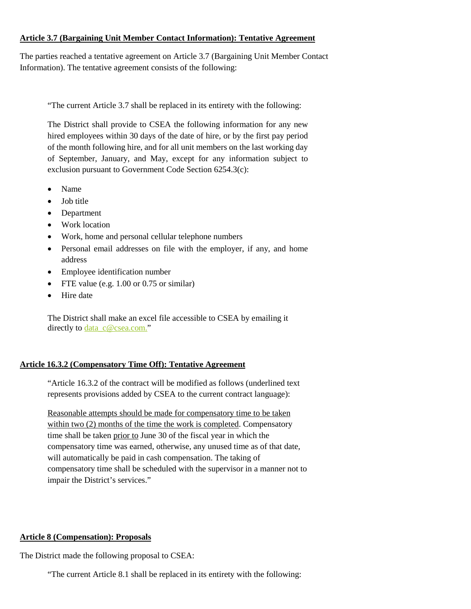#### **Article 3.7 (Bargaining Unit Member Contact Information): Tentative Agreement**

The parties reached a tentative agreement on Article 3.7 (Bargaining Unit Member Contact Information). The tentative agreement consists of the following:

"The current Article 3.7 shall be replaced in its entirety with the following:

The District shall provide to CSEA the following information for any new hired employees within 30 days of the date of hire, or by the first pay period of the month following hire, and for all unit members on the last working day of September, January, and May, except for any information subject to exclusion pursuant to Government Code Section 6254.3(c):

- Name
- Job title
- Department
- Work location
- Work, home and personal cellular telephone numbers
- Personal email addresses on file with the employer, if any, and home address
- Employee identification number
- FTE value (e.g. 1.00 or 0.75 or similar)
- Hire date

The District shall make an excel file accessible to CSEA by emailing it directly to [data\\_c@csea.com.](mailto:data_c@csea.com)"

## **Article 16.3.2 (Compensatory Time Off): Tentative Agreement**

"Article 16.3.2 of the contract will be modified as follows (underlined text represents provisions added by CSEA to the current contract language):

Reasonable attempts should be made for compensatory time to be taken within two (2) months of the time the work is completed. Compensatory time shall be taken prior to June 30 of the fiscal year in which the compensatory time was earned, otherwise, any unused time as of that date, will automatically be paid in cash compensation. The taking of compensatory time shall be scheduled with the supervisor in a manner not to impair the District's services."

## **Article 8 (Compensation): Proposals**

The District made the following proposal to CSEA:

"The current Article 8.1 shall be replaced in its entirety with the following: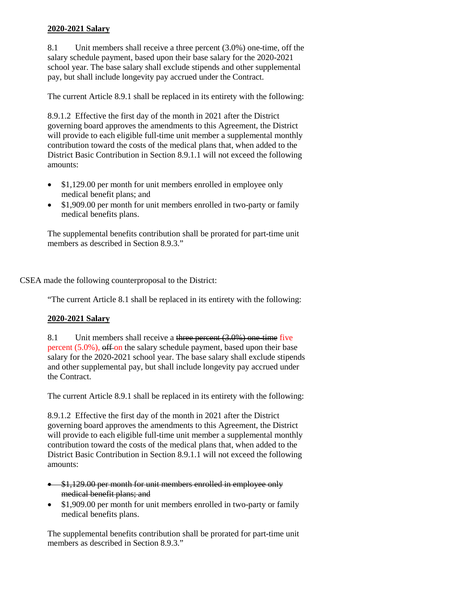#### **2020-2021 Salary**

8.1 Unit members shall receive a three percent (3.0%) one-time, off the salary schedule payment, based upon their base salary for the 2020-2021 school year. The base salary shall exclude stipends and other supplemental pay, but shall include longevity pay accrued under the Contract.

The current Article 8.9.1 shall be replaced in its entirety with the following:

8.9.1.2 Effective the first day of the month in 2021 after the District governing board approves the amendments to this Agreement, the District will provide to each eligible full-time unit member a supplemental monthly contribution toward the costs of the medical plans that, when added to the District Basic Contribution in Section 8.9.1.1 will not exceed the following amounts:

- \$1,129.00 per month for unit members enrolled in employee only medical benefit plans; and
- \$1,909.00 per month for unit members enrolled in two-party or family medical benefits plans.

The supplemental benefits contribution shall be prorated for part-time unit members as described in Section 8.9.3."

CSEA made the following counterproposal to the District:

"The current Article 8.1 shall be replaced in its entirety with the following:

#### **2020-2021 Salary**

8.1 Unit members shall receive a three percent (3.0%) one-time five percent (5.0%), off on the salary schedule payment, based upon their base salary for the 2020-2021 school year. The base salary shall exclude stipends and other supplemental pay, but shall include longevity pay accrued under the Contract.

The current Article 8.9.1 shall be replaced in its entirety with the following:

8.9.1.2 Effective the first day of the month in 2021 after the District governing board approves the amendments to this Agreement, the District will provide to each eligible full-time unit member a supplemental monthly contribution toward the costs of the medical plans that, when added to the District Basic Contribution in Section 8.9.1.1 will not exceed the following amounts:

- \$1,129.00 per month for unit members enrolled in employee only medical benefit plans; and
- \$1,909.00 per month for unit members enrolled in two-party or family medical benefits plans.

The supplemental benefits contribution shall be prorated for part-time unit members as described in Section 8.9.3."